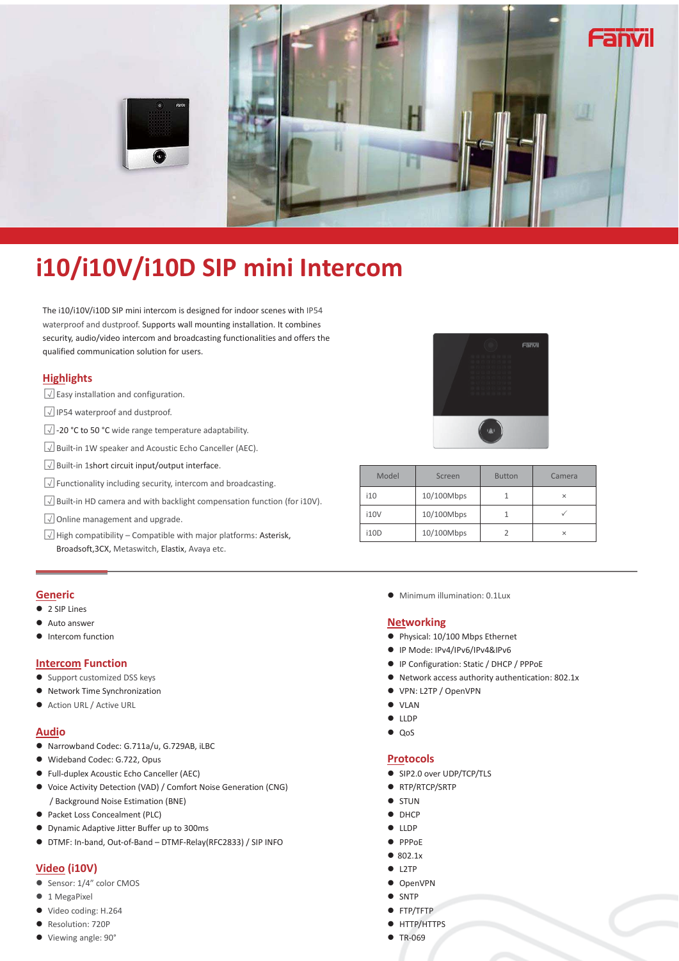

# **i10/i10V/i10D SIP mini Intercom**

The i10/i10V/i10D SIP mini intercom is designed for indoor scenes with IP54 waterproof and dustproof. Supports wall mounting installation. It combines security, audio/video intercom and broadcasting functionalities and offers the qualified communication solution for users.

# **Highlights**

- $\sqrt{\frac{1}{\sqrt{\pi}}}$  Easy installation and configuration.
- $\sqrt{ }$  IP54 waterproof and dustproof.
- $\sqrt{2}$ -20 °C to 50 °C wide range temperature adaptability.
- $\sqrt{2}$  Built-in 1W speaker and Acoustic Echo Canceller (AEC).
- $\sqrt{2}$  Built-in 1short circuit input/output interface.
- $\sqrt{2}$  Functionality including security, intercom and broadcasting.
- $\sqrt{2}$  Built-in HD camera and with backlight compensation function (for i10V).
- $\sqrt{a}$  Online management and upgrade.
- $\sqrt{\sqrt{2}}$  High compatibility Compatible with major platforms: Asterisk, Broadsoft,3CX, Metaswitch, Elastix, Avaya etc.



| Model       | Screen     | <b>Button</b> | Camera   |  |
|-------------|------------|---------------|----------|--|
| i10         | 10/100Mbps |               | $\times$ |  |
| <b>i10V</b> | 10/100Mbps |               |          |  |
| i10D        | 10/100Mbps |               | $\times$ |  |

#### **Generic**

- 2 SIP Lines
- **Auto answer**
- Intercom function

#### **Intercom Function**

- Support customized DSS keys
- Network Time Synchronization
- Action URL / Active URL

#### **Audio**

- Narrowband Codec: G.711a/u, G.729AB, iLBC
- $\bullet$  Wideband Codec: G.722, Opus
- **•** Full-duplex Acoustic Echo Canceller (AEC)
- $\bullet$  Voice Activity Detection (VAD) / Comfort Noise Generation (CNG) / Background Noise Estimation (BNE)
- Packet Loss Concealment (PLC)
- z Dynamic Adaptive Jitter Buffer up to 300ms
- z DTMF: In-band, Out-of-Band DTMF-Relay(RFC2833) / SIP INFO

# **Video (i10V)**

- Sensor: 1/4" color CMOS
- 1 MegaPixel
- Video coding: H.264
- Resolution: 720P
- Viewing angle: 90°

• Minimum illumination: 0.1Lux

# **Networking**

- Physical: 10/100 Mbps Ethernet
- IP Mode: IPv4/IPv6/IPv4&IPv6
- **IP Configuration: Static / DHCP / PPPoE**
- $\bullet$  Network access authority authentication: 802.1x
- VPN: L2TP / OpenVPN
- $\bullet$  VLAN
- $\bullet$  LLDP
- $QoS$

## **Protocols**

- SIP2.0 over UDP/TCP/TLS
- RTP/RTCP/SRTP
- **•** STUN
- $\bullet$  DHCP
- LLDP
- $\bullet$  PPPoE
- $\bullet$  802.1x
- $\bullet$  L2TP
- $\bullet$  OpenVPN
- SNTP
- **•** FTP/TFTP
- **HTTP/HTTPS**
- $\bullet$  TR-069